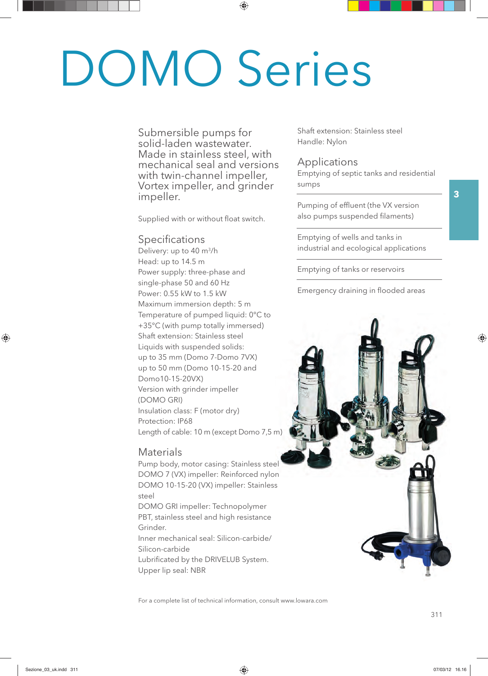# DOMO Series

Submersible pumps for solid-laden wastewater. Made in stainless steel, with mechanical seal and versions with twin-channel impeller, Vortex impeller, and grinder impeller.

Supplied with or without float switch.

#### **Specifications**

Delivery: up to 40 m3/h Head: up to 14.5 m Power supply: three-phase and single-phase 50 and 60 Hz Power: 0.55 kW to 1.5 kW Maximum immersion depth: 5 m Temperature of pumped liquid: 0°C to +35°C (with pump totally immersed) Shaft extension: Stainless steel Liquids with suspended solids: up to 35 mm (Domo 7-Domo 7VX) up to 50 mm (Domo 10-15-20 and Domo10-15-20VX) Version with grinder impeller (DOMO GRI) Insulation class: F (motor dry) Protection: IP68 Length of cable: 10 m (except Domo 7,5 m)

#### **Materials**

Pump body, motor casing: Stainless steel DOMO 7 (VX) impeller: Reinforced nylon DOMO 10-15-20 (VX) impeller: Stainless steel

DOMO GRI impeller: Technopolymer PBT, stainless steel and high resistance Grinder.

Inner mechanical seal: Silicon-carbide/ Silicon-carbide

Lubrificated by the DRIVELUB System.

Upper lip seal: NBR

Shaft extension: Stainless steel Handle: Nylon

#### Applications

Emptying of septic tanks and residential sumps

Pumping of effluent (the VX version also pumps suspended filaments)

Emptying of wells and tanks in industrial and ecological applications

Emptying of tanks or reservoirs

Emergency draining in flooded areas



For a complete list of technical information, consult www.lowara.com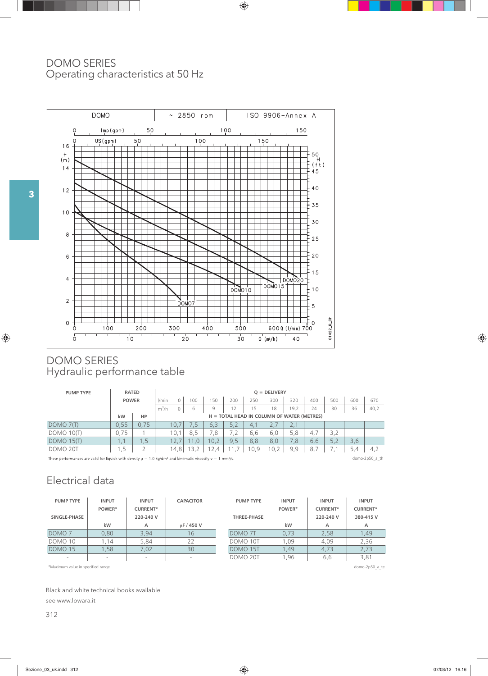## DOMO SERIES Operating characteristics at 50 Hz



## DOMO SERIES Hydraulic performance table

| <b>PUMP TYPE</b>                                                                                                                                            | <b>RATED</b> |      | $Q = DELIVERY$    |     |      |     |                                              |      |      |     |     |     |      |
|-------------------------------------------------------------------------------------------------------------------------------------------------------------|--------------|------|-------------------|-----|------|-----|----------------------------------------------|------|------|-----|-----|-----|------|
|                                                                                                                                                             | <b>POWER</b> |      | l/min<br>$\Omega$ | 100 | 150  | 200 | 250                                          | 300  | 320  | 400 | 500 | 600 | 670  |
|                                                                                                                                                             |              |      | $m^3/h$<br>0      | 6   | 9    | 12  | 15                                           | 18   | 19,2 | 24  | 30  | 36  | 40,2 |
|                                                                                                                                                             | kW           | HP   |                   |     |      |     | $H = TOTAL HEAD IN COLUMN OF WATER (METRES)$ |      |      |     |     |     |      |
| DOMO7(T)                                                                                                                                                    | 0.55         | 0.75 | 10.7              | 7.5 | 6,3  | 5.2 | 4,1                                          | 2,7  | 2.1  |     |     |     |      |
| $DOMO$ 10 $(T)$                                                                                                                                             | 0.75         |      | 10.1              | 8.5 | 7.8  | 7.2 | 6,6                                          | 6,0  | 5.8  | 4.7 | 3,2 |     |      |
| $DOMO$ 15(T)                                                                                                                                                | I . 1        | .5   | 12.7              | 1.0 | 10.2 | 9.5 | 8.8                                          | 8.0  | 7.8  | 6.6 | 5,2 | 3.6 |      |
| DOMO <sub>20T</sub>                                                                                                                                         | 1.5          |      | 14,8              | 3,2 | 2.4  |     | 10,9                                         | 10,2 | 9.9  | 8.7 |     | 5,4 | 4,2  |
| These performances are valid for liquids with density $\rho = 1.0$ kg/dm <sup>3</sup> and kinematic viscosity $v = 1$ mm <sup>2</sup> /s.<br>domo-2p50 a th |              |      |                   |     |      |     |                                              |      |      |     |     |     |      |

# Electrical data

| <b>PUMP TYPE</b>   | <b>INPUT</b> | <b>INPUT</b>    | <b>CAPACITOR</b> | <b>PUMP TYPE</b>    | <b>INPUT</b>     | <b>INPUT</b>    | <b>INPUT</b>    |
|--------------------|--------------|-----------------|------------------|---------------------|------------------|-----------------|-----------------|
|                    | POWER*       | <b>CURRENT*</b> |                  |                     | POWER*           | <b>CURRENT*</b> | <b>CURRENT*</b> |
| SINGLE-PHASE       |              | 220-240 V       |                  | THREE-PHASE         |                  | 220-240 V       | 380-415 V       |
|                    | kW           | А               | µF / 450 V       |                     | kW               | Α               | A               |
| DOMO <sub>7</sub>  | 0.80         | 3.94            | 16               | DOMO <sub>7</sub> T | 0.73             | 2.58            | 1.49            |
| DOMO <sub>10</sub> | .14          | 5.84            | 22               | DOMO 10T            | .09              | 4.09            | 2.36            |
| DOMO <sub>15</sub> | 1.58         | 7.02            | 30               | DOMO <sub>15T</sub> | $\overline{.49}$ | 4.73            | 2.73            |
| $\qquad \qquad$    |              |                 |                  | DOMO 20T            | .96              | 6,6             | 3,81            |

\*Maximum value in specified range domo-2p50\_a\_te

Black and white technical books available see www.lowara.it

**3**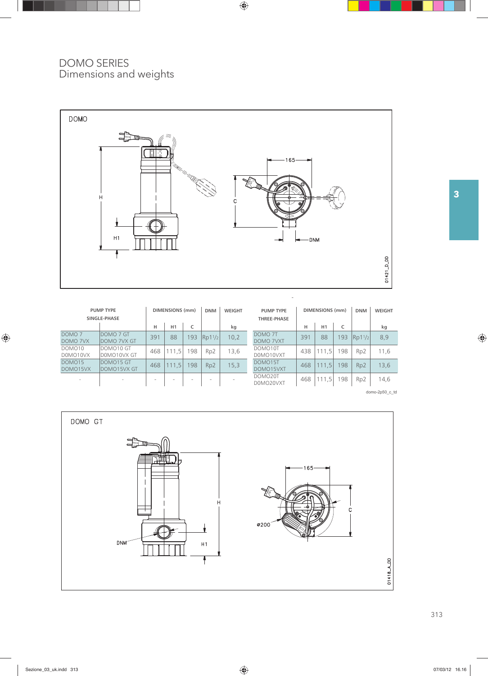## DOMO SERIES Dimensions and weights



| <b>PUMP TYPE</b><br>SINGLE-PHASE |                                  | <b>DIMENSIONS</b> (mm) |       | <b>DNM</b> | <b>WEIGHT</b>   | <b>PUMP TYPE</b><br>THREE-PHASE |                                  | <b>DIMENSIONS (mm)</b> | <b>DNM</b> | <b>WEIGHT</b> |                 |      |
|----------------------------------|----------------------------------|------------------------|-------|------------|-----------------|---------------------------------|----------------------------------|------------------------|------------|---------------|-----------------|------|
|                                  |                                  | н                      | H1    | C          |                 | kg                              |                                  | н                      | H1         | C             |                 | kg   |
| DOMO <sub>7</sub><br>DOMO 7VX    | DOMO 7 GT<br><b>IDOMO 7VX GT</b> | 391                    | 88    | 193        | Rp11/2          | 10,2                            | DOMO <sub>7</sub> T<br>DOMO 7VXT | 391                    | 88         | 193           | Rp11/2          | 8,9  |
| DOMO <sub>10</sub><br>DOMO10VX   | DOMO10 GT<br>DOMO10VX GT         | 468                    | 111,5 | 198        | Rp <sub>2</sub> | 13,6                            | DOMO10T<br>D0MO10VXT             | 438                    | 111.5      | 198           | Rp <sub>2</sub> | 11,6 |
| DOMO <sub>15</sub><br>DOMO15VX   | DOMO15 GT<br><b>IDOMO15VX GT</b> | 468                    | 111.5 | 198        | Rp <sub>2</sub> | 15,3                            | DOMO15T<br>DOMO15VXT             | 468                    | 111.5      | 198           | Rp <sub>2</sub> | 13,6 |
| $\overline{\phantom{a}}$         |                                  | $\sim$                 |       |            |                 |                                 | DOMO20T<br>D0MO20VXT             | 468                    | 111.5      | 198           | Rp <sub>2</sub> | 14,6 |

domo-2p50\_c\_td

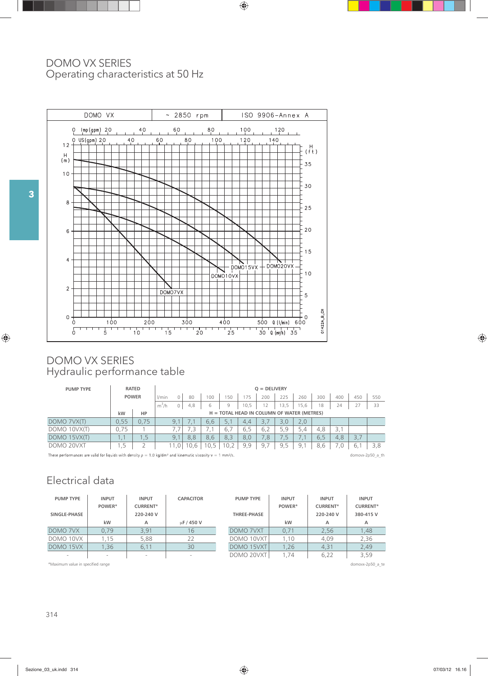## DOMO VX SERIES Operating characteristics at 50 Hz



#### DOMO VX SERIES Hydraulic performance table

| <b>PUMP TYPE</b>                                                                                                                                           |              | <b>RATED</b><br>$Q = DELIVERY$ |         |                                                                       |     |     |     |      |     |      |            |     |     |     |     |
|------------------------------------------------------------------------------------------------------------------------------------------------------------|--------------|--------------------------------|---------|-----------------------------------------------------------------------|-----|-----|-----|------|-----|------|------------|-----|-----|-----|-----|
|                                                                                                                                                            | <b>POWER</b> |                                | l/min   |                                                                       | 80  | 100 | 150 | 175  | 200 | 225  | 260        | 300 | 400 | 450 | 550 |
|                                                                                                                                                            |              |                                | $m^3/h$ | 0                                                                     | 4,8 | 6   | 9   | 10,5 | 12  | 13,5 | 15,6       | 18  | 24  | 27  | 33  |
|                                                                                                                                                            | kW           | HP                             |         | $H = TOTAL HEAD IN COLUMN OF WATER (METRES)$                          |     |     |     |      |     |      |            |     |     |     |     |
| DOMO 7VX(T)                                                                                                                                                | 0.55         | 0.75                           |         | 9.1                                                                   |     | 6.6 | 5.1 | 4,4  | 3.7 | 3.0  | 2.0        |     |     |     |     |
| DOMO 10VX(T)                                                                                                                                               | 0.75         |                                |         |                                                                       | . З |     | 6.7 | 6.5  | 6.2 | 5.9  | 5.4        | 4.8 | 3.1 |     |     |
| DOMO 15VX(T)                                                                                                                                               | 1.1          | 1.5                            |         | 9.1                                                                   | 8.8 | 8.6 | 8,3 | 8.0  | 7.8 | 7,5  | $\prime$ . | 6.5 | 4.8 | 3.7 |     |
| DOMO 20VXT                                                                                                                                                 | .5           |                                |         | 10,2<br>9,7<br>9.5<br>9,9<br>10,5<br>9,1<br>8.6<br>10.6<br>11.0<br>6. |     |     |     |      |     |      |            |     |     | 3,8 |     |
| These performances are valid for liquids with density $p = 1.0$ kg/dm <sup>3</sup> and kinematic viscosity $v = 1$ mm <sup>2</sup> /s.<br>domovx-2p50 a th |              |                                |         |                                                                       |     |     |     |      |     |      |            |     |     |     |     |

nese performances are valid for liquids with density  $\rho = 1.0 \text{ kg/dm}^3$  ar ity

## Electrical data

| <b>PUMP TYPE</b>                  | <b>INPUT</b> | <b>INPUT</b>   | <b>CAPACITOR</b> | <b>PUMP TYPE</b>   | <b>INPUT</b> | <b>INPUT</b>    | <b>INPUT</b>     |
|-----------------------------------|--------------|----------------|------------------|--------------------|--------------|-----------------|------------------|
|                                   | POWER*       | CURRENT*       |                  |                    | POWER*       | <b>CURRENT*</b> | <b>CURRENT*</b>  |
| SINGLE-PHASE                      |              | 220-240 V      |                  | <b>THREE-PHASE</b> |              | 220-240 V       | 380-415 V        |
|                                   | kW           | $\overline{A}$ | uF / 450 V       |                    | kW           | $\overline{A}$  | A                |
| DOMO 7VX                          | 0.79         | 3.91           | 16               | DOMO 7VXT          | 0.71         | 2.56            | 1.48             |
| DOMO 10VX                         | 1.15         | 5.88           | 22               | DOMO 10VXT         | 1.10         | 4.09            | 2.36             |
| DOMO 15VX                         | 1.36         | 6.11           | 30               | DOMO 15VXT         | 1.26         | 4.31            | 2.49             |
| $\overline{\phantom{a}}$          |              |                |                  | DOMO 20VXT         | 1.74         | 6.22            | 3.59             |
| *Maximum value in specified range |              |                |                  |                    |              |                 | domovx-2p50 a te |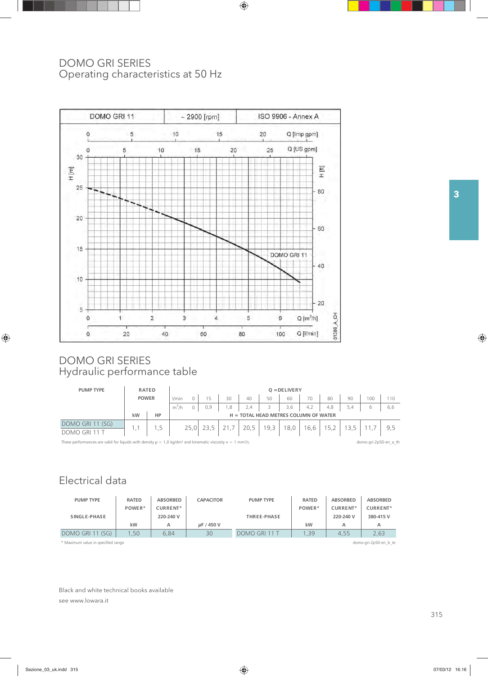### DOMO GRI SERIES Operating characteristics at 50 Hz



## DOMO GRI SERIES Hydraulic performance table

| <b>PUMP TYPE</b>                                                                                                                                                   |              | <b>RATED</b><br>$Q = DELIVERY$ |         |                                         |      |    |      |      |      |      |      |      |     |      |
|--------------------------------------------------------------------------------------------------------------------------------------------------------------------|--------------|--------------------------------|---------|-----------------------------------------|------|----|------|------|------|------|------|------|-----|------|
|                                                                                                                                                                    | <b>POWER</b> |                                | l/min   |                                         |      | 30 | 40   | 50   | 60   | 70   | 80   | 90   | 100 | 110  |
|                                                                                                                                                                    |              |                                | $m^3/h$ |                                         | 0,9  | ,8 | 2,4  |      | 3,6  | 4,2  | 4,8  | 5,4  | 6   | 6,6  |
|                                                                                                                                                                    | kW           | HP                             |         | $H = TOTAL HEAD METRES COLUMN OF WATER$ |      |    |      |      |      |      |      |      |     |      |
| (SG)<br>DOMO GRI 11<br>DOMO GRI                                                                                                                                    |              | 1.5                            |         | 25,0                                    | 23.5 |    | 20,5 | 19,3 | 18,0 | 16,6 | 15,2 | 13,5 |     | -9,5 |
| These performances are valid for liquids with density $\rho = 1.0$ kg/dm <sup>3</sup> and kinematic viscosity $v = 1$ mm <sup>2</sup> /s.<br>domo-gri-2p50-en a th |              |                                |         |                                         |      |    |      |      |      |      |      |      |     |      |

Electrical data

| <b>PUMP TYPE</b> | <b>RATED</b> | <b>ABSORBED</b> | <b>CAPACITOR</b> | <b>PUMP TYPE</b> | <b>RATED</b> | <b>ABSORBED</b> | <b>ABSORBED</b> |
|------------------|--------------|-----------------|------------------|------------------|--------------|-----------------|-----------------|
|                  | POWER*       | CURRENT*        |                  |                  | POWER*       | CURRENT*        | CURRENT*        |
| SINGLE-PHASE     |              | 220-240 V       |                  | THREE-PHASE      |              | 220-240 V       | 380-415 V       |
|                  | kW           | А               | uF / 450 V       |                  | kW           | А               | А               |
|                  |              |                 |                  |                  |              |                 |                 |
| DOMO GRI 11 (SG) | .50          | 6.84            | 30               | DOMO GRI 11 T    | .39          | 4.55            | 2.63            |

Black and white technical books available see www.lowara.it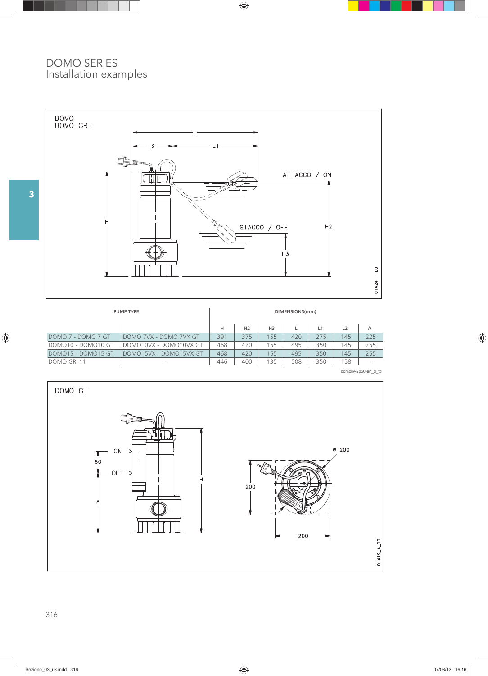#### DOMO SERIES Installation examples



| <b>PUMP TYPE</b>   | DIMENSIONS(mm)           |     |                |                |     |     |     |        |  |  |
|--------------------|--------------------------|-----|----------------|----------------|-----|-----|-----|--------|--|--|
|                    |                          | н   | H <sub>2</sub> | H <sub>3</sub> |     | 11  | 12  | А      |  |  |
| DOMO 7 - DOMO 7 GT | IDOMO 7VX - DOMO 7VX GT  | 391 | 375            | 155            | 420 | 275 | 145 | 225    |  |  |
| DOMO10 - DOMO10 GT | IDOMO10VX - DOMO10VX GT  | 468 | 420            | 155            | 495 | 350 | 145 | 255    |  |  |
| DOMO15 - DOMO15 GT | IDOMO15VX - DOMO15VX GT  | 468 | 420            | 155            | 495 | 350 | 145 | 255    |  |  |
| DOMO GRI 11        | $\overline{\phantom{a}}$ | 446 | 400            | 135            | 508 | 350 | 158 | $\sim$ |  |  |



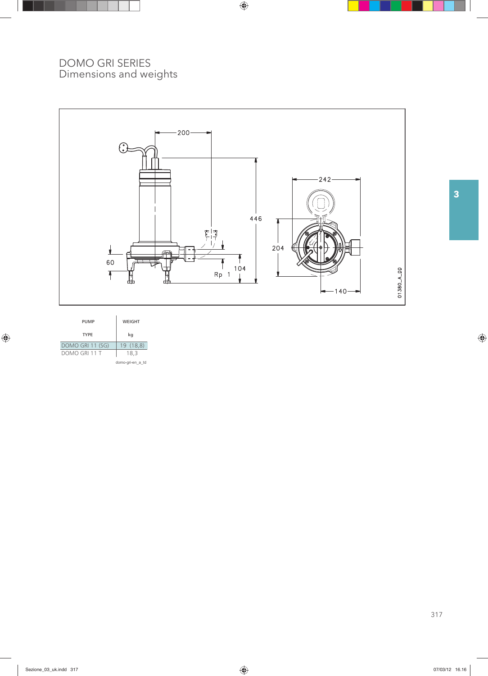#### DOMO GRI SERIES Dimensions and weights



| <b>PUMP</b>      | <b>WEIGHT</b> |
|------------------|---------------|
| <b>TYPE</b>      | kq            |
| DOMO GRI 11 (SG) | 19 (18.8)     |
| DOMO GRI 11 T    | 18,3          |
|                  |               |

domo-gri-en\_a\_td